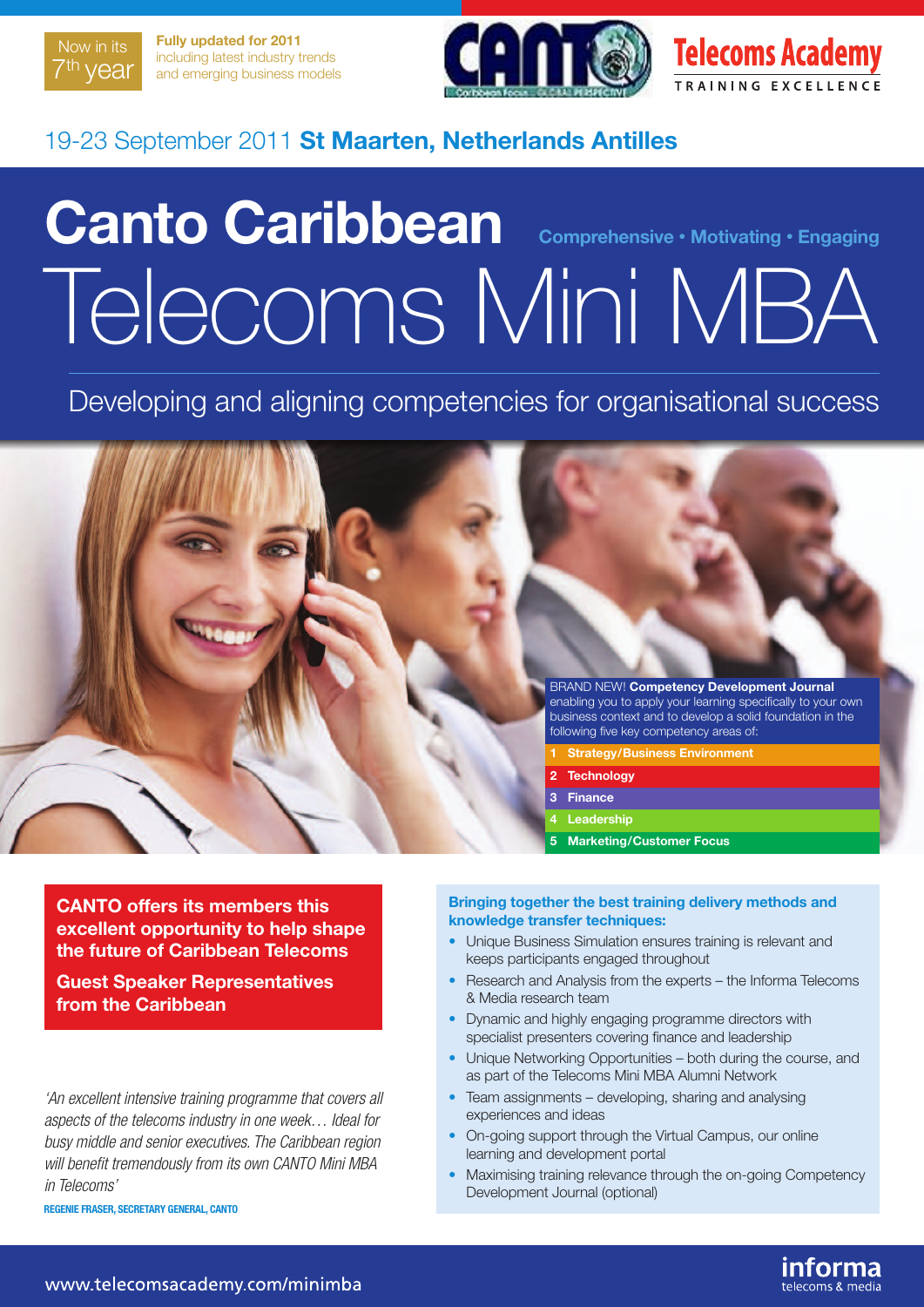

**Fully updated for 2011** including latest industry trends and emerging business models





# 19-23 September 2011 **St Maarten, Netherlands Antilles**

# **Canto Caribbean Comprehensive • Motivating • Engaging** Telecoms Mini MBA

Developing and aligning competencies for organisational success



**CANTO offers its members this excellent opportunity to help shape the future of Caribbean Telecoms**

**Guest Speaker Representatives from the Caribbean**

*'An excellent intensive training programme that covers all aspects of the telecoms industry in one week… Ideal for busy middle and senior executives. The Caribbean region will benefit tremendously from its own CANTO Mini MBA in Telecoms'*

**REGENIE FRASER, SECRETARY GENERAL, CANTO**

#### **Bringing together the best training delivery methods and knowledge transfer techniques:**

- Unique Business Simulation ensures training is relevant and keeps participants engaged throughout
- Research and Analysis from the experts the Informa Telecoms & Media research team
- Dynamic and highly engaging programme directors with specialist presenters covering finance and leadership
- Unique Networking Opportunities both during the course, and as part of the Telecoms Mini MBA Alumni Network
- Team assignments developing, sharing and analysing experiences and ideas
- On-going support through the Virtual Campus, our online learning and development portal
- Maximising training relevance through the on-going Competency Development Journal (optional)

informa

telecoms & media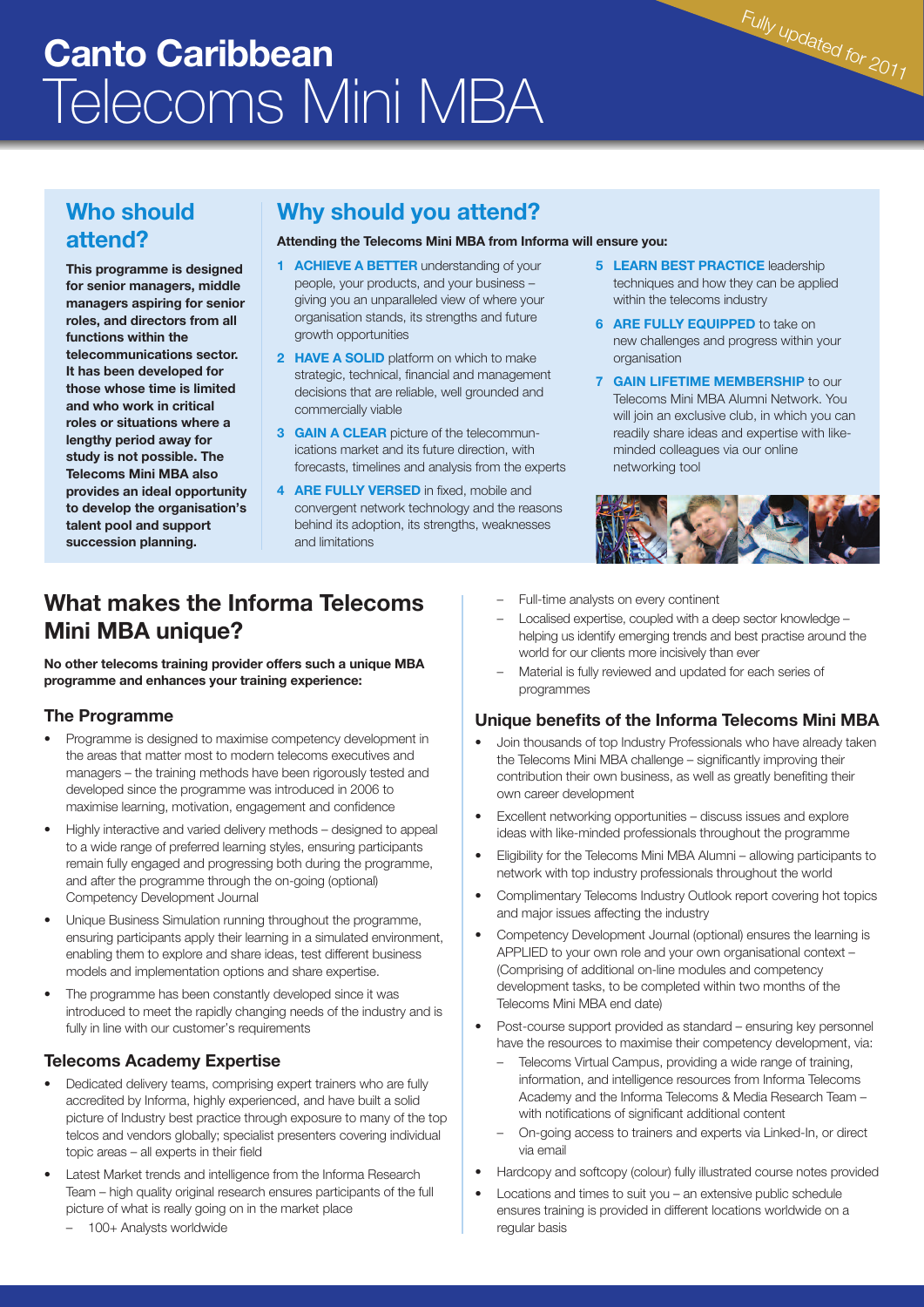# **Canto Caribbean** Telecoms Mini MBA

# **Who should attend?**

**This programme is designed for senior managers, middle managers aspiring for senior roles, and directors from all functions within the telecommunications sector. It has been developed for those whose time is limited and who work in critical roles or situations where a lengthy period away for study is not possible. The Telecoms Mini MBA also provides an ideal opportunity to develop the organisation's talent pool and support succession planning.**

# **Why should you attend?**

#### **Attending the Telecoms Mini MBA from Informa will ensure you:**

- **1 ACHIEVE A BETTER** understanding of your people, your products, and your business – giving you an unparalleled view of where your organisation stands, its strengths and future growth opportunities
- **2 HAVE A SOLID** platform on which to make strategic, technical, financial and management decisions that are reliable, well grounded and commercially viable
- **3 GAIN A CLEAR** picture of the telecommunications market and its future direction, with forecasts, timelines and analysis from the experts
- **4 ARE FULLY VERSED** in fixed, mobile and convergent network technology and the reasons behind its adoption, its strengths, weaknesses and limitations

**5 LEARN BEST PRACTICE** leadership techniques and how they can be applied within the telecoms industry

Fully updated for <sup>2011</sup>

- **6 ARE FULLY EQUIPPED** to take on new challenges and progress within your organisation
- **7 GAIN LIFETIME MEMBERSHIP** to our Telecoms Mini MBA Alumni Network. You will join an exclusive club, in which you can readily share ideas and expertise with likeminded colleagues via our online networking tool



# **What makes the Informa Telecoms Mini MBA unique?**

**No other telecoms training provider offers such a unique MBA programme and enhances your training experience:**

#### **The Programme**

- Programme is designed to maximise competency development in the areas that matter most to modern telecoms executives and managers – the training methods have been rigorously tested and developed since the programme was introduced in 2006 to maximise learning, motivation, engagement and confidence
- Highly interactive and varied delivery methods designed to appeal to a wide range of preferred learning styles, ensuring participants remain fully engaged and progressing both during the programme, and after the programme through the on-going (optional) Competency Development Journal
- Unique Business Simulation running throughout the programme, ensuring participants apply their learning in a simulated environment, enabling them to explore and share ideas, test different business models and implementation options and share expertise.
- The programme has been constantly developed since it was introduced to meet the rapidly changing needs of the industry and is fully in line with our customer's requirements

#### **Telecoms Academy Expertise**

- Dedicated delivery teams, comprising expert trainers who are fully accredited by Informa, highly experienced, and have built a solid picture of Industry best practice through exposure to many of the top telcos and vendors globally; specialist presenters covering individual topic areas – all experts in their field
- Latest Market trends and intelligence from the Informa Research Team – high quality original research ensures participants of the full picture of what is really going on in the market place
	- 100+ Analysts worldwide
- Full-time analysts on every continent
- Localised expertise, coupled with a deep sector knowledge helping us identify emerging trends and best practise around the world for our clients more incisively than ever
- Material is fully reviewed and updated for each series of programmes

#### **Unique benefits of the Informa Telecoms Mini MBA**

- Join thousands of top Industry Professionals who have already taken the Telecoms Mini MBA challenge – significantly improving their contribution their own business, as well as greatly benefiting their own career development
- Excellent networking opportunities discuss issues and explore ideas with like-minded professionals throughout the programme
- Eligibility for the Telecoms Mini MBA Alumni allowing participants to network with top industry professionals throughout the world
- Complimentary Telecoms Industry Outlook report covering hot topics and major issues affecting the industry
- Competency Development Journal (optional) ensures the learning is APPLIED to your own role and your own organisational context – (Comprising of additional on-line modules and competency development tasks, to be completed within two months of the Telecoms Mini MBA end date)
- Post-course support provided as standard ensuring key personnel have the resources to maximise their competency development, via:
	- Telecoms Virtual Campus, providing a wide range of training, information, and intelligence resources from Informa Telecoms Academy and the Informa Telecoms & Media Research Team – with notifications of significant additional content
	- On-going access to trainers and experts via Linked-In, or direct via email
- Hardcopy and softcopy (colour) fully illustrated course notes provided
- Locations and times to suit you an extensive public schedule ensures training is provided in different locations worldwide on a regular basis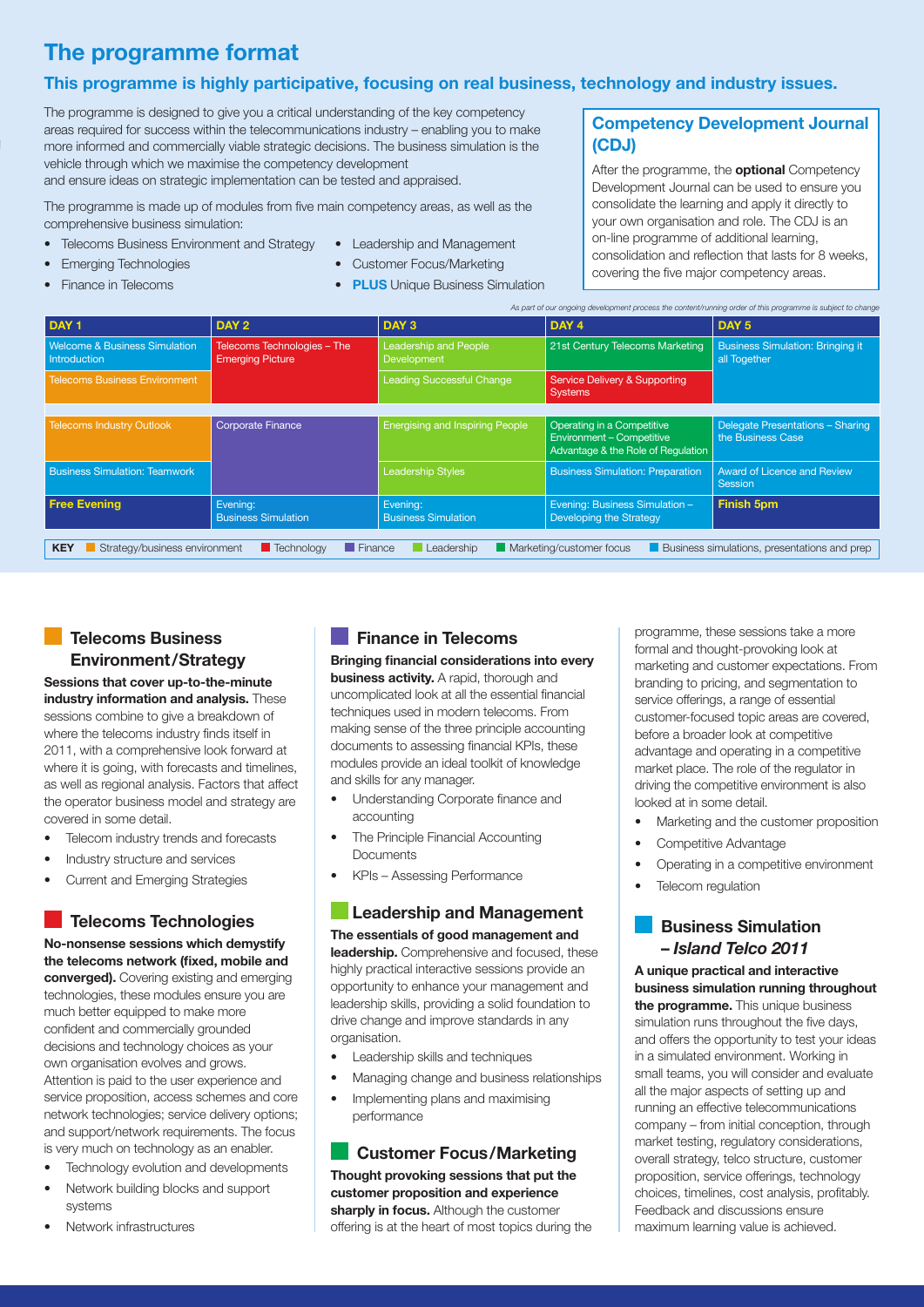# **The programme format**

#### **This programme is highly participative, focusing on real business, technology and industry issues.**

The programme is designed to give you a critical understanding of the key competency areas required for success within the telecommunications industry – enabling you to make more informed and commercially viable strategic decisions. The business simulation is the vehicle through which we maximise the competency development and ensure ideas on strategic implementation can be tested and appraised.

The programme is made up of modules from five main competency areas, as well as the comprehensive business simulation:

- **•** Telecoms Business Environment and Strategy
- **•** Leadership and Management

**•** Finance in Telecoms

**•** Emerging Technologies

- **•** Customer Focus/Marketing
- **• PLUS** Unique Business Simulation

#### **Competency Development Journal (CDJ)**

After the programme, the **optional** Competency Development Journal can be used to ensure you consolidate the learning and apply it directly to your own organisation and role. The CDJ is an on-line programme of additional learning, consolidation and reflection that lasts for 8 weeks, covering the five major competency areas.

|                                                                 |                                                        |                                             | As part of our ongoing development process the content/running order of this programme is subject to change |                                                         |
|-----------------------------------------------------------------|--------------------------------------------------------|---------------------------------------------|-------------------------------------------------------------------------------------------------------------|---------------------------------------------------------|
| DAY <sub>1</sub>                                                | DAY 2                                                  | DAY <sub>3</sub>                            | DAY <sub>4</sub>                                                                                            | DAY <sub>5</sub>                                        |
| <b>Welcome &amp; Business Simulation</b><br><b>Introduction</b> | Telecoms Technologies - The<br><b>Emerging Picture</b> | Leadership and People<br><b>Development</b> | 21st Century Telecoms Marketing                                                                             | <b>Business Simulation: Bringing it</b><br>all Together |
| <b>Telecoms Business Environment</b>                            |                                                        | <b>Leading Successful Change</b>            | <b>Service Delivery &amp; Supporting</b><br><b>Systems</b>                                                  |                                                         |
|                                                                 |                                                        |                                             |                                                                                                             |                                                         |
| <b>Telecoms Industry Outlook</b>                                | Corporate Finance                                      | <b>Energising and Inspiring People</b>      | Operating in a Competitive<br><b>Environment - Competitive</b><br>Advantage & the Role of Regulation        | Delegate Presentations - Sharing<br>the Business Case   |
| <b>Business Simulation: Teamwork</b>                            |                                                        | <b>Leadership Styles</b>                    | <b>Business Simulation: Preparation</b>                                                                     | <b>Award of Licence and Review</b><br><b>Session</b>    |
| <b>Free Evening</b>                                             | Evening:<br><b>Business Simulation</b>                 | Evening:<br><b>Business Simulation</b>      | Evening: Business Simulation -<br>Developing the Strategy                                                   | <b>Finish 5pm</b>                                       |
|                                                                 |                                                        |                                             |                                                                                                             |                                                         |
| <b>KEY</b><br>Strategy/business environment                     | $\blacksquare$ Finance<br><b>Technology</b>            | Leadership                                  | <b>Marketing/customer focus</b>                                                                             | <b>Business simulations, presentations and prep</b>     |

## **Telecoms Business Environment/Strategy**

**Sessions that cover up-to-the-minute industry information and analysis.** These sessions combine to give a breakdown of where the telecoms industry finds itself in 2011, with a comprehensive look forward at where it is going, with forecasts and timelines, as well as regional analysis. Factors that affect the operator business model and strategy are covered in some detail.

- Telecom industry trends and forecasts
- Industry structure and services
- Current and Emerging Strategies

#### **Telecoms Technologies**

**No-nonsense sessions which demystify the telecoms network (fixed, mobile and converged).** Covering existing and emerging technologies, these modules ensure you are much better equipped to make more confident and commercially grounded decisions and technology choices as your own organisation evolves and grows. Attention is paid to the user experience and service proposition, access schemes and core network technologies; service delivery options; and support/network requirements. The focus is very much on technology as an enabler.

Technology evolution and developments

- Network building blocks and support systems
- Network infrastructures

#### **Finance in Telecoms**

**Bringing financial considerations into every business activity.** A rapid, thorough and

uncomplicated look at all the essential financial techniques used in modern telecoms. From making sense of the three principle accounting documents to assessing financial KPIs, these modules provide an ideal toolkit of knowledge and skills for any manager.

- Understanding Corporate finance and accounting
- The Principle Financial Accounting Documents
- KPIs Assessing Performance

#### **Leadership and Management**

#### **The essentials of good management and leadership.** Comprehensive and focused, these

highly practical interactive sessions provide an opportunity to enhance your management and leadership skills, providing a solid foundation to drive change and improve standards in any organisation.

- Leadership skills and techniques
- Managing change and business relationships
- Implementing plans and maximising performance

#### **Customer Focus/Marketing**

**Thought provoking sessions that put the customer proposition and experience sharply in focus.** Although the customer offering is at the heart of most topics during the

programme, these sessions take a more formal and thought-provoking look at marketing and customer expectations. From branding to pricing, and segmentation to service offerings, a range of essential customer-focused topic areas are covered, before a broader look at competitive advantage and operating in a competitive market place. The role of the regulator in driving the competitive environment is also looked at in some detail.

- Marketing and the customer proposition
- Competitive Advantage
- Operating in a competitive environment
	- Telecom regulation

#### **Business Simulation –** *Island Telco 2011*

**A unique practical and interactive business simulation running throughout the programme.** This unique business simulation runs throughout the five days, and offers the opportunity to test your ideas in a simulated environment. Working in small teams, you will consider and evaluate all the major aspects of setting up and running an effective telecommunications company – from initial conception, through market testing, regulatory considerations, overall strategy, telco structure, customer proposition, service offerings, technology choices, timelines, cost analysis, profitably. Feedback and discussions ensure maximum learning value is achieved.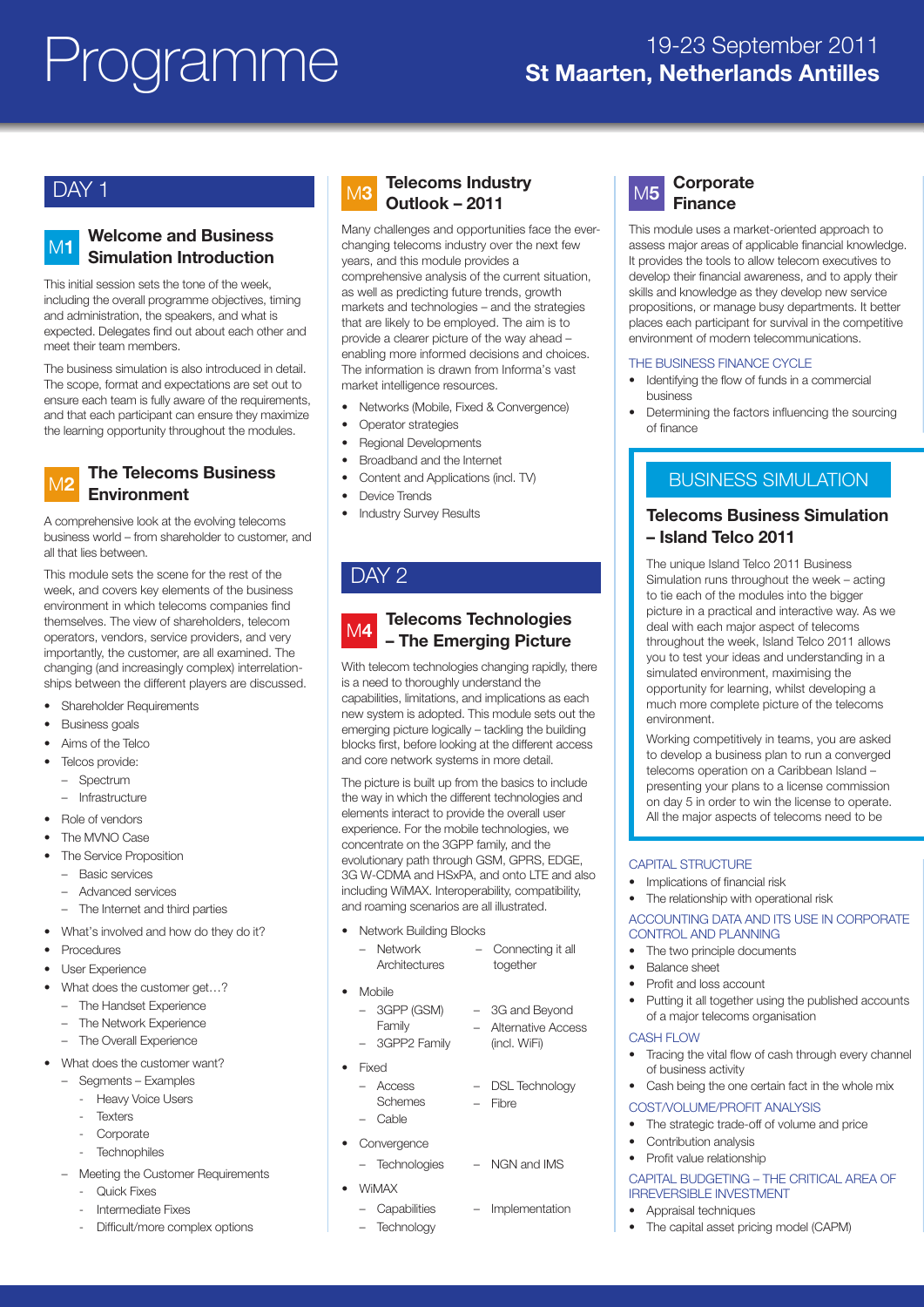## DAY<sub>1</sub>

#### **Welcome and Business Simulation Introduction** M**1**

This initial session sets the tone of the week, including the overall programme objectives, timing and administration, the speakers, and what is expected. Delegates find out about each other and meet their team members.

The business simulation is also introduced in detail. The scope, format and expectations are set out to ensure each team is fully aware of the requirements, and that each participant can ensure they maximize the learning opportunity throughout the modules.

#### **The Telecoms Business Environment** M**2**

A comprehensive look at the evolving telecoms business world – from shareholder to customer, and all that lies between.

This module sets the scene for the rest of the week, and covers key elements of the business environment in which telecoms companies find themselves. The view of shareholders, telecom operators, vendors, service providers, and very importantly, the customer, are all examined. The changing (and increasingly complex) interrelationships between the different players are discussed.

- Shareholder Requirements
- Business goals
- Aims of the Telco
- Telcos provide:
- Spectrum
	- Infrastructure
- Role of vendors
- The MVNO Case
- The Service Proposition
	- Basic services
	- Advanced services
	- The Internet and third parties
- What's involved and how do they do it?
- Procedures
- User Experience
- What does the customer get...?
	- The Handset Experience
	- The Network Experience
	- The Overall Experience
- What does the customer want?
	- Segments Examples
		- Heavy Voice Users
		- **Texters**
		- Corporate
		- **Technophiles**
	- Meeting the Customer Requirements
		- **Ouick Fixes**
		- Intermediate Fixes
		- Difficult/more complex options

# M**3**

#### **Telecoms Industry Outlook – 2011**

Many challenges and opportunities face the everchanging telecoms industry over the next few years, and this module provides a comprehensive analysis of the current situation, as well as predicting future trends, growth markets and technologies – and the strategies that are likely to be employed. The aim is to provide a clearer picture of the way ahead – enabling more informed decisions and choices. The information is drawn from Informa's vast market intelligence resources.

- Networks (Mobile, Fixed & Convergence)
- Operator strategies
- Regional Developments
- Broadband and the Internet
- Content and Applications (incl. TV)
- Device Trends
- Industry Survey Results

# DAY<sub>2</sub>

#### **Telecoms Technologies – The Emerging Picture** M**4**

With telecom technologies changing rapidly, there is a need to thoroughly understand the capabilities, limitations, and implications as each new system is adopted. This module sets out the emerging picture logically – tackling the building blocks first, before looking at the different access and core network systems in more detail.

The picture is built up from the basics to include the way in which the different technologies and elements interact to provide the overall user experience. For the mobile technologies, we concentrate on the 3GPP family, and the evolutionary path through GSM, GPRS, EDGE, 3G W-CDMA and HSxPA, and onto LTE and also including WiMAX. Interoperability, compatibility, and roaming scenarios are all illustrated.

• Network Building Blocks

| <b>Network</b><br>Architectures            | Connecting it all<br>together                       |
|--------------------------------------------|-----------------------------------------------------|
| Mobile                                     |                                                     |
| $-$ 3GPP (GSM)<br>Family<br>- 3GPP2 Family | 3G and Beyond<br>Alternative Access<br>(incl. WiFi) |
| Fixed                                      |                                                     |
| - Access<br>Schemes                        | <b>DSL Technology</b><br>Fibre                      |

- Cable
- Convergence
	- Technologies NGN and IMS

– Implementation

- WiMAX
	- Capabilities
	- Technology

#### **Corporate Finance** M**5**

This module uses a market-oriented approach to assess major areas of applicable financial knowledge. It provides the tools to allow telecom executives to develop their financial awareness, and to apply their skills and knowledge as they develop new service propositions, or manage busy departments. It better places each participant for survival in the competitive environment of modern telecommunications.

#### THE BUSINESS FINANCE CYCLE

- Identifying the flow of funds in a commercial business
- Determining the factors influencing the sourcing of finance

## BUSINESS SIMULATION

#### **Telecoms Business Simulation – Island Telco 2011**

The unique Island Telco 2011 Business Simulation runs throughout the week – acting to tie each of the modules into the bigger picture in a practical and interactive way. As we deal with each major aspect of telecoms throughout the week, Island Telco 2011 allows you to test your ideas and understanding in a simulated environment, maximising the opportunity for learning, whilst developing a much more complete picture of the telecoms environment.

Working competitively in teams, you are asked to develop a business plan to run a converged telecoms operation on a Caribbean Island – presenting your plans to a license commission on day 5 in order to win the license to operate. All the major aspects of telecoms need to be

#### CAPITAL STRUCTURE

- Implications of financial risk
- The relationship with operational risk

#### ACCOUNTING DATA AND ITS USE IN CORPORATE CONTROL AND PLANNING

- The two principle documents
- Balance sheet
- Profit and loss account
- Putting it all together using the published accounts of a major telecoms organisation

#### CASH FLOW

- Tracing the vital flow of cash through every channel of business activity
- Cash being the one certain fact in the whole mix

#### COST/VOLUME/PROFIT ANALYSIS

- The strategic trade-off of volume and price
- Contribution analysis
- Profit value relationship

#### CAPITAL BUDGETING – THE CRITICAL AREA OF IRREVERSIBLE INVESTMENT

- Appraisal techniques
- The capital asset pricing model (CAPM)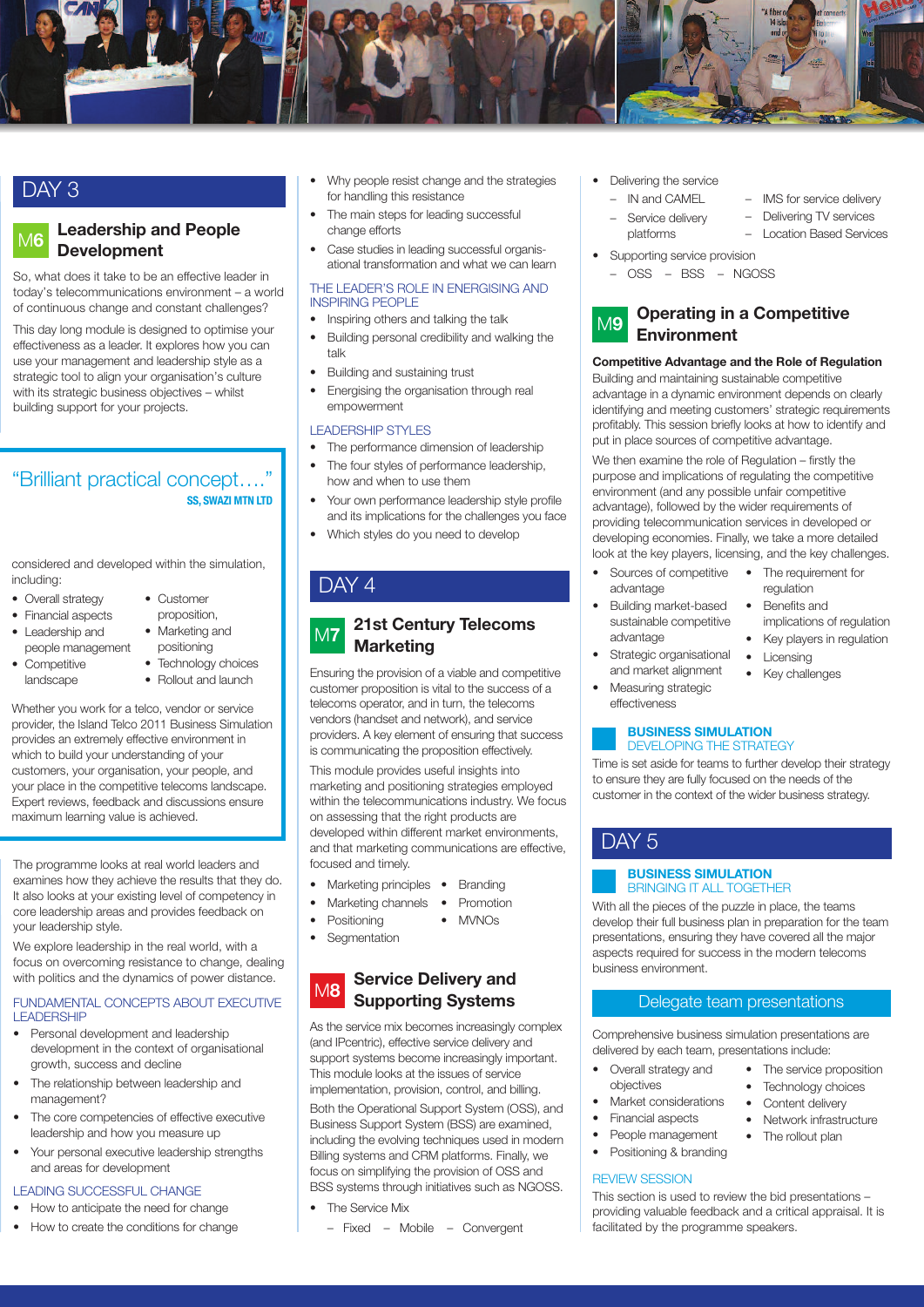

# DAY 3

#### **Leadership and People Development** M**6**

So, what does it take to be an effective leader in today's telecommunications environment – a world of continuous change and constant challenges?

This day long module is designed to optimise your effectiveness as a leader. It explores how you can use your management and leadership style as a strategic tool to align your organisation's culture with its strategic business objectives – whilst building support for your projects.

## "Brilliant practical concept…." **SS, SWAZI MTN LTD**

considered and developed within the simulation, including:

- Overall strategy
- Financial aspects
	-
- Leadership and people management
- Competitive
- landscape
- positioning • Technology choices
- Rollout and launch

Whether you work for a telco, vendor or service provider, the Island Telco 2011 Business Simulation provides an extremely effective environment in which to build your understanding of your customers, your organisation, your people, and your place in the competitive telecoms landscape. Expert reviews, feedback and discussions ensure maximum learning value is achieved.

The programme looks at real world leaders and examines how they achieve the results that they do. It also looks at your existing level of competency in core leadership areas and provides feedback on your leadership style.

We explore leadership in the real world, with a focus on overcoming resistance to change, dealing with politics and the dynamics of power distance.

#### FUNDAMENTAL CONCEPTS ABOUT EXECUTIVE LEADERSHIP

- Personal development and leadership development in the context of organisational growth, success and decline
- The relationship between leadership and management?
- The core competencies of effective executive leadership and how you measure up
- Your personal executive leadership strengths and areas for development

## LEADING SUCCESSFUL CHANGE

- How to anticipate the need for change
- How to create the conditions for change
- Why people resist change and the strategies for handling this resistance
- The main steps for leading successful change efforts
- Case studies in leading successful organisational transformation and what we can learn

THE LEADER'S ROLE IN ENERGISING AND INSPIRING PEOPLE

• Inspiring others and talking the talk

- Building personal credibility and walking the talk
- Building and sustaining trust
- Energising the organisation through real empowerment

#### LEADERSHIP STYLES

- The performance dimension of leadership
- The four styles of performance leadership, how and when to use them
- Your own performance leadership style profile and its implications for the challenges you face
- Which styles do you need to develop

#### **21st Century Telecoms Marketing** M**7**

Ensuring the provision of a viable and competitive customer proposition is vital to the success of a telecoms operator, and in turn, the telecoms vendors (handset and network), and service providers. A key element of ensuring that success is communicating the proposition effectively.

This module provides useful insights into marketing and positioning strategies employed within the telecommunications industry. We focus on assessing that the right products are developed within different market environments, and that marketing communications are effective, focused and timely.

- Marketing principles Branding
- Marketing channels Promotion
	- **Positioning** • MVNOs
- Segmentation

#### **Service Delivery and Supporting Systems** M**8**

As the service mix becomes increasingly complex (and IPcentric), effective service delivery and support systems become increasingly important. This module looks at the issues of service implementation, provision, control, and billing.

Both the Operational Support System (OSS), and Business Support System (BSS) are examined, including the evolving techniques used in modern Billing systems and CRM platforms. Finally, we focus on simplifying the provision of OSS and BSS systems through initiatives such as NGOSS.

- The Service Mix
	- Fixed Mobile Convergent
- Delivering the service
	- IN and CAMEL
	- - Service delivery – Delivering TV services
		- platforms – Location Based Services
	- Supporting service provision
	- OSS BSS NGOSS



#### **Operating in a Competitive Environment**

#### **Competitive Advantage and the Role of Regulation**

Building and maintaining sustainable competitive advantage in a dynamic environment depends on clearly identifying and meeting customers' strategic requirements profitably. This session briefly looks at how to identify and put in place sources of competitive advantage.

We then examine the role of Regulation – firstly the purpose and implications of regulating the competitive environment (and any possible unfair competitive advantage), followed by the wider requirements of providing telecommunication services in developed or developing economies. Finally, we take a more detailed look at the key players, licensing, and the key challenges.

- Sources of competitive advantage • The requirement for
- Building market-based sustainable competitive advantage
	- Strategic organisational and market alignment
- Measuring strategic effectiveness

#### **BUSINESS SIMULATION** DEVELOPING THE STRATEGY

Time is set aside for teams to further develop their strategy to ensure they are fully focused on the needs of the customer in the context of the wider business strategy.

# DAY<sub>5</sub>

#### **BUSINESS SIMULATION** BRINGING IT ALL TOGETHER

With all the pieces of the puzzle in place, the teams develop their full business plan in preparation for the team presentations, ensuring they have covered all the major aspects required for success in the modern telecoms business environment.

#### Delegate team presentations

Comprehensive business simulation presentations are delivered by each team, presentations include:

- Overall strategy and objectives
- Market considerations
- Financial aspects
- People management
- Positioning & branding

#### REVIEW SESSION

This section is used to review the bid presentations – providing valuable feedback and a critical appraisal. It is facilitated by the programme speakers.

• The service proposition Technology choices • Content delivery • Network infrastructure • The rollout plan

regulation • Benefits and implications of regulation

• Key players in regulation

– IMS for service delivery

- Licensing
- Key challenges

DAY<sub>4</sub>

#### • Customer proposition, • Marketing and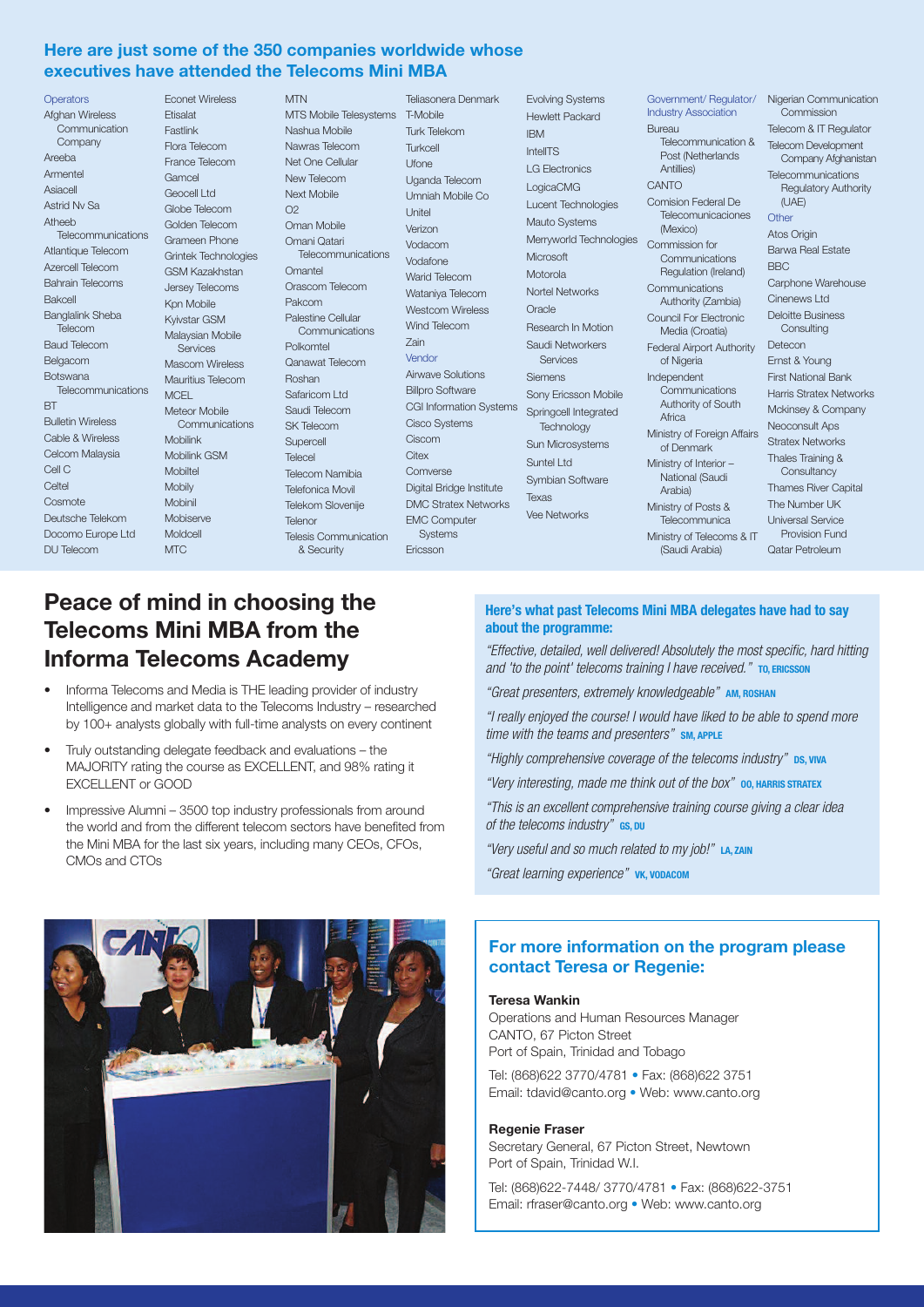#### **Here are just some of the 350 companies worldwide whose executives have attended the Telecoms Mini MBA**

**Operators** Afghan Wireless **Communication** Company Areeba Armentel Asiacell Astrid Nv Sa Atheeb Telecommunications Grameen Phone Atlantique Telecom Azercell Telecom Bahrain Telecoms Bakcell Banglalink Sheba Telecom Baud Telecom Belgacom Botswana Telecommunications MCEL **BT** Bulletin Wireless Cable & Wireless Celcom Malaysia Cell C Celtel Cosmote Deutsche Telekom Docomo Europe Ltd DU Telecom

Econet Wireless Etisalat Fastlink Flora Telecom France Telecom Gamcel Geocell Ltd Globe Telecom Golden Telecom Grintek Technologies GSM Kazakhstan Jersey Telecoms Kpn Mobile Kyivstar GSM Malaysian Mobile **Services** Mascom Wireless Mauritius Telecom Meteor Mobile Communications Mobilink Mobilink GSM Mobiltel Mobily Mobinil Mobiserve Moldcell M<sub>TC</sub>

**MTN** MTS Mobile Telesystems T-Mobile Nashua Mobile Nawras Telecom Net One Cellular New Telecom Next Mobile  $O<sub>2</sub>$ Oman Mobile Omani Qatari Telecommunications **Omantel** Orascom Telecom Pakcom Palestine Cellular Communications Polkomtel Qanawat Telecom Roshan Safaricom Ltd Saudi Telecom SK Telecom **Supercell** Telecel Telecom Namibia Telefonica Movil Telekom Slovenije Telenor Telesis Communication & Security

Teliasonera Denmark Turk Telekom Turkcell Ufone Uganda Telecom Umniah Mobile Co Unitel Verizon Vodacom Vodafone Warid Telecom Wataniya Telecom Westcom Wireless Wind Telecom Zain Vendor Airwave Solutions Billpro Software CGI Information Systems Springcell Integrated Cisco Systems Ciscom  $Citov$ Comverse Digital Bridge Institute DMC Stratex Networks EMC Computer **Systems** Ericsson

Evolving Systems Hewlett Packard IBM IntelITS LG Electronics LogicaCMG Lucent Technologies Mauto Systems Merryworld Technologies Commission for Microsoft Motorola Nortel Networks **Oracle** Research In Motion Saudi Networkers Services Siemens Sony Ericsson Mobile **Technology** Sun Microsystems Suntel Ltd Symbian Software Texas Vee Networks

Government/ Regulator/ Nigerian Communication Industry Association Bureau Telecommunication & Telecom Development Post (Netherlands Antillies) **CANTO** Comision Federal De Telecomunicaciones (Mexico) Communications Regulation (Ireland) **Communications** Authority (Zambia) Council For Electronic Media (Croatia) Federal Airport Authority Detecon of Nigeria Independent Communications Authority of South Africa Ministry of Foreign Affairs of Denmark Ministry of Interior – National (Saudi Arabia) Ministry of Posts & Telecommunica Ministry of Telecoms & IT (Saudi Arabia)

Commission Telecom & IT Regulator Company Afghanistan **Telecommunications** Regulatory Authority  $(11AT)$ **Other** Atos Origin Barwa Real Estate BBC Carphone Warehouse Cinenews Ltd Deloitte Business **Consulting** Ernst & Young First National Bank Harris Stratex Networks Mckinsey & Company Neoconsult Aps Stratex Networks Thales Training & **Consultancy** Thames River Capital The Number UK Universal Service Provision Fund Qatar Petroleum

# **Peace of mind in choosing the Telecoms Mini MBA from the Informa Telecoms Academy**

- Informa Telecoms and Media is THE leading provider of industry Intelligence and market data to the Telecoms Industry – researched by 100+ analysts globally with full-time analysts on every continent
- Truly outstanding delegate feedback and evaluations the MAJORITY rating the course as EXCELLENT, and 98% rating it EXCELLENT or GOOD
- Impressive Alumni 3500 top industry professionals from around the world and from the different telecom sectors have benefited from the Mini MBA for the last six years, including many CEOs, CFOs, CMOs and CTOs

# **REGISTER**

#### **Here's what past Telecoms Mini MBA delegates have had to say about the programme:**

*"Effective, detailed, well delivered! Absolutely the most specific, hard hitting and 'to the point' telecoms training I have received."* **TO, ERICSSON**

*"Great presenters, extremely knowledgeable"* **AM, ROSHAN**

*"I really enjoyed the course! I would have liked to be able to spend more time with the teams and presenters"* **SM, APPLE**

*"Highly comprehensive coverage of the telecoms industry"* **DS, VIVA**

*"Very interesting, made me think out of the box"* **OO, HARRIS STRATEX**

*"This is an excellent comprehensive training course giving a clear idea of the telecoms industry"* **GS, DU**

*"Very useful and so much related to my job!"* **LA, ZAIN**

*"Great learning experience"* **VK, VODACOM**

#### **For more information on the program please contact Teresa or Regenie:**

#### **Teresa Wankin**

Operations and Human Resources Manager CANTO, 67 Picton Street Port of Spain, Trinidad and Tobago

Tel: (868)622 3770/4781 • Fax: (868)622 3751 Email: tdavid@canto.org • Web: www.canto.org

#### **Regenie Fraser**

Secretary General, 67 Picton Street, Newtown Port of Spain, Trinidad W.I.

Tel: (868)622-7448/ 3770/4781 • Fax: (868)622-3751 Email: rfraser@canto.org • Web: www.canto.org

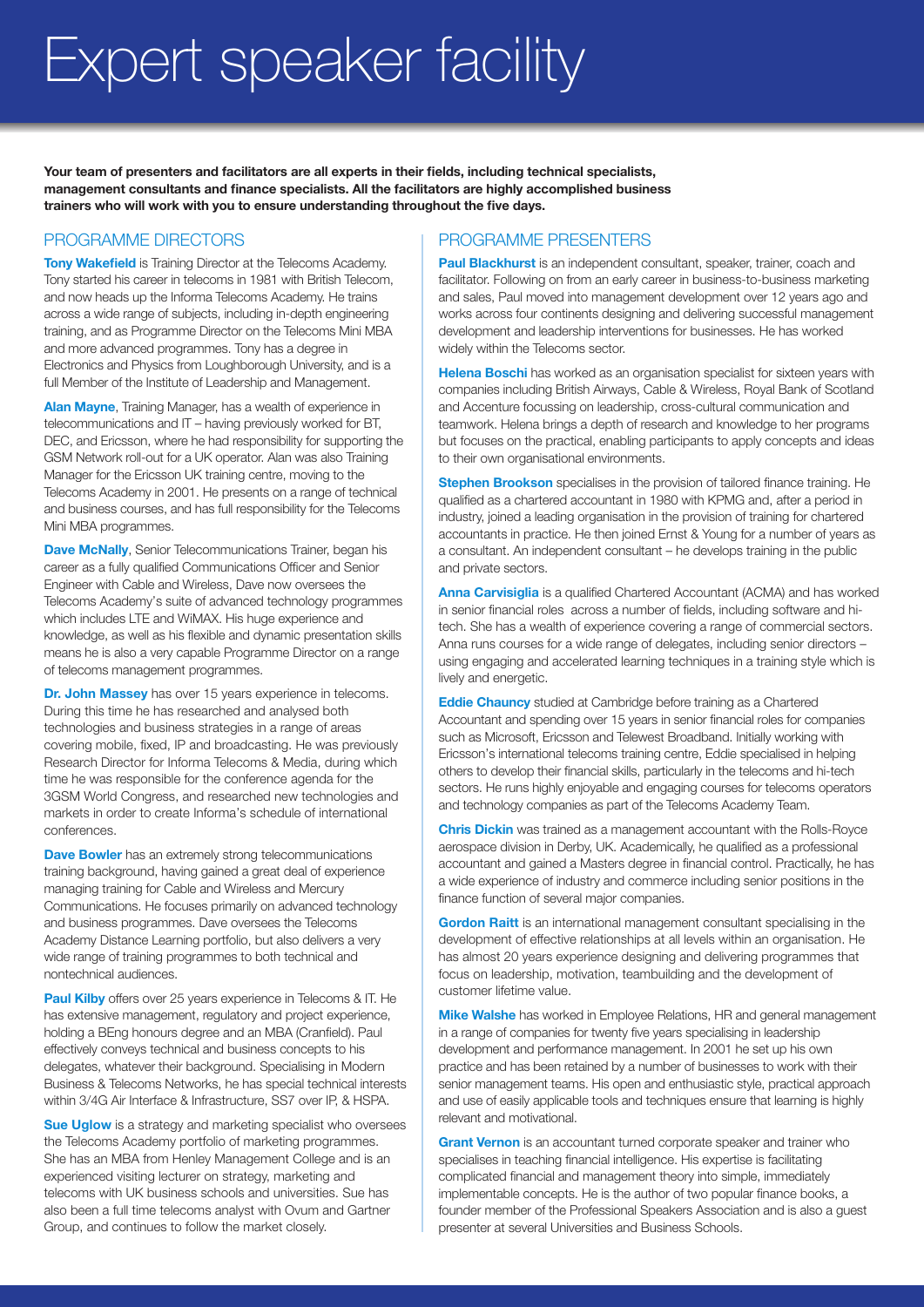# Expert speaker facility

**Your team of presenters and facilitators are all experts in their fields, including technical specialists, management consultants and finance specialists. All the facilitators are highly accomplished business trainers who will work with you to ensure understanding throughout the five days.**

#### PROGRAMME DIRECTORS

**Tony Wakefield** is Training Director at the Telecoms Academy. Tony started his career in telecoms in 1981 with British Telecom, and now heads up the Informa Telecoms Academy. He trains across a wide range of subjects, including in-depth engineering training, and as Programme Director on the Telecoms Mini MBA and more advanced programmes. Tony has a degree in Electronics and Physics from Loughborough University, and is a full Member of the Institute of Leadership and Management.

**Alan Mayne**, Training Manager, has a wealth of experience in telecommunications and IT – having previously worked for BT, DEC, and Ericsson, where he had responsibility for supporting the GSM Network roll-out for a UK operator. Alan was also Training Manager for the Ericsson UK training centre, moving to the Telecoms Academy in 2001. He presents on a range of technical and business courses, and has full responsibility for the Telecoms Mini MBA programmes.

**Dave McNally**, Senior Telecommunications Trainer, began his career as a fully qualified Communications Officer and Senior Engineer with Cable and Wireless, Dave now oversees the Telecoms Academy's suite of advanced technology programmes which includes LTE and WiMAX. His huge experience and knowledge, as well as his flexible and dynamic presentation skills means he is also a very capable Programme Director on a range of telecoms management programmes.

**Dr. John Massey** has over 15 years experience in telecoms. During this time he has researched and analysed both technologies and business strategies in a range of areas covering mobile, fixed, IP and broadcasting. He was previously Research Director for Informa Telecoms & Media, during which time he was responsible for the conference agenda for the 3GSM World Congress, and researched new technologies and markets in order to create Informa's schedule of international conferences.

**Dave Bowler** has an extremely strong telecommunications training background, having gained a great deal of experience managing training for Cable and Wireless and Mercury Communications. He focuses primarily on advanced technology and business programmes. Dave oversees the Telecoms Academy Distance Learning portfolio, but also delivers a very wide range of training programmes to both technical and nontechnical audiences.

**Paul Kilby** offers over 25 years experience in Telecoms & IT. He has extensive management, regulatory and project experience, holding a BEng honours degree and an MBA (Cranfield). Paul effectively conveys technical and business concepts to his delegates, whatever their background. Specialising in Modern Business & Telecoms Networks, he has special technical interests within 3/4G Air Interface & Infrastructure, SS7 over IP, & HSPA.

**Sue Uglow** is a strategy and marketing specialist who oversees the Telecoms Academy portfolio of marketing programmes. She has an MBA from Henley Management College and is an experienced visiting lecturer on strategy, marketing and telecoms with UK business schools and universities. Sue has also been a full time telecoms analyst with Ovum and Gartner Group, and continues to follow the market closely.

#### PROGRAMME PRESENTERS

**Paul Blackhurst** is an independent consultant, speaker, trainer, coach and facilitator. Following on from an early career in business-to-business marketing and sales, Paul moved into management development over 12 years ago and works across four continents designing and delivering successful management development and leadership interventions for businesses. He has worked widely within the Telecoms sector.

**Helena Boschi** has worked as an organisation specialist for sixteen years with companies including British Airways, Cable & Wireless, Royal Bank of Scotland and Accenture focussing on leadership, cross-cultural communication and teamwork. Helena brings a depth of research and knowledge to her programs but focuses on the practical, enabling participants to apply concepts and ideas to their own organisational environments.

**Stephen Brookson** specialises in the provision of tailored finance training. He qualified as a chartered accountant in 1980 with KPMG and, after a period in industry, joined a leading organisation in the provision of training for chartered accountants in practice. He then joined Ernst & Young for a number of years as a consultant. An independent consultant – he develops training in the public and private sectors.

**Anna Carvisiglia** is a qualified Chartered Accountant (ACMA) and has worked in senior financial roles across a number of fields, including software and hitech. She has a wealth of experience covering a range of commercial sectors. Anna runs courses for a wide range of delegates, including senior directors – using engaging and accelerated learning techniques in a training style which is lively and energetic.

**Eddie Chauncy** studied at Cambridge before training as a Chartered Accountant and spending over 15 years in senior financial roles for companies such as Microsoft, Ericsson and Telewest Broadband. Initially working with Ericsson's international telecoms training centre, Eddie specialised in helping others to develop their financial skills, particularly in the telecoms and hi-tech sectors. He runs highly enjoyable and engaging courses for telecoms operators and technology companies as part of the Telecoms Academy Team.

**Chris Dickin** was trained as a management accountant with the Rolls-Royce aerospace division in Derby, UK. Academically, he qualified as a professional accountant and gained a Masters degree in financial control. Practically, he has a wide experience of industry and commerce including senior positions in the finance function of several major companies.

**Gordon Raitt** is an international management consultant specialising in the development of effective relationships at all levels within an organisation. He has almost 20 years experience designing and delivering programmes that focus on leadership, motivation, teambuilding and the development of customer lifetime value.

**Mike Walshe** has worked in Employee Relations, HR and general management in a range of companies for twenty five years specialising in leadership development and performance management. In 2001 he set up his own practice and has been retained by a number of businesses to work with their senior management teams. His open and enthusiastic style, practical approach and use of easily applicable tools and techniques ensure that learning is highly relevant and motivational.

**Grant Vernon** is an accountant turned corporate speaker and trainer who specialises in teaching financial intelligence. His expertise is facilitating complicated financial and management theory into simple, immediately implementable concepts. He is the author of two popular finance books, a founder member of the Professional Speakers Association and is also a guest presenter at several Universities and Business Schools.